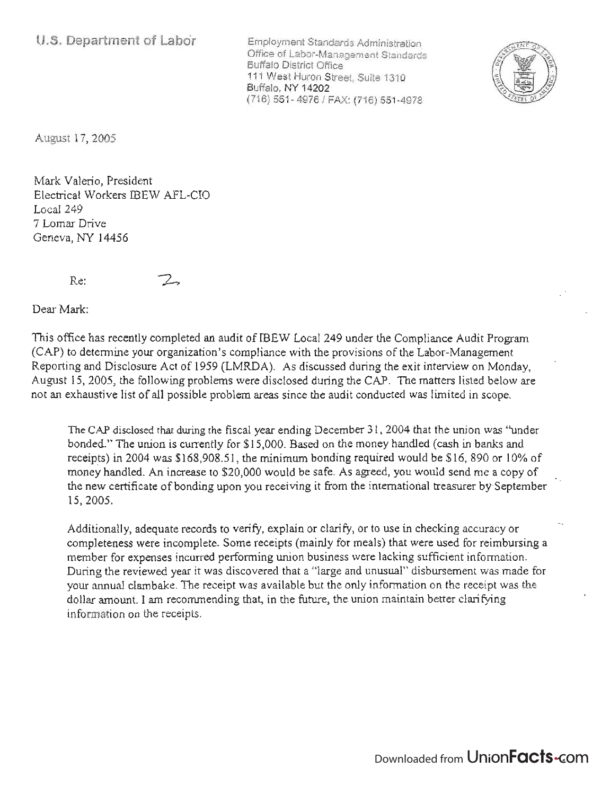Employment Standards Administration Office of Labor-Management Standards Buffalo District Office 111 West Huron Street, Suite 1310 Buffalo, NY 14202 (716) 551- 49761 FAX: (716) 551-4978



August 17, 2005

Mark Valerio, President Electrical Workers IBEW AFL-CIO Local 249 7 Lomar Drive Geneva, NY 14456

Re:

Dear Mark:

This office has recently completed an audit of IBEW Local 249 under the Compliance Audit Program (CAP) to determine your organization's compliance with the provisions of the Labor-Management Reporting and Disclosure Act of 1959 (LMRDA). As discussed during the exit interview on Monday, August 15, 2005, the following problems were disclosed during the CAP. The matters listed below are not an exhaustive list of all possible problem areas since the audit conducted was limited in scope.

The CAP disclosed that during the fiscal year ending December 31, 2004 that the union was "under bonded." The union is currently for \$15,000. Based on the money handled (cash in banks and receipts) in 2004 was \$168,908.51, the minimum bonding required would be \$16,890 or 10% of money handled. An increase to \$20,000 would be safe. As agreed, you would send me a copy of the new certificate of bonding upon you receiving it from the international treasurer by-September 15,2005.

Additionally, adequate records to verify, explain or clarify, or to use in checking accuracy or completeness were incomplete. Some receipts (mainly for meals) that were used for reimbursing a member for expenses incurred performing union business were lacking sufficient information. During the reviewed year it was discovered that a "large and unusual" disbursement was made for your annual clambake. The receipt was available but the only information on the receipt was the dollar amount. I am recommending that, in the future, the union maintain better clarifying information on the receipts.